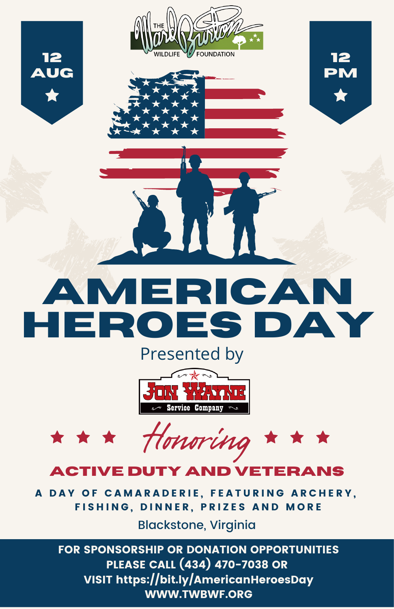



**AMERICAN HEROES DAY**

# Presented by



Honoring  $\star \star \star$ \* \* \*

## **ACTIVE DUTY AND VETERANS**

A DAY OF CAMARADERIE, FEATURING ARCHERY, FISHING, DINNER, PRIZES AND MORE

Blackstone, Virginia

FOR SPONSORSHIP OR DONATION OPPORTUNITIES PLEASE CALL (434) 470-7038 OR VISIT https://bit.ly/AmericanHeroesDay WWW.TWBWF.ORG